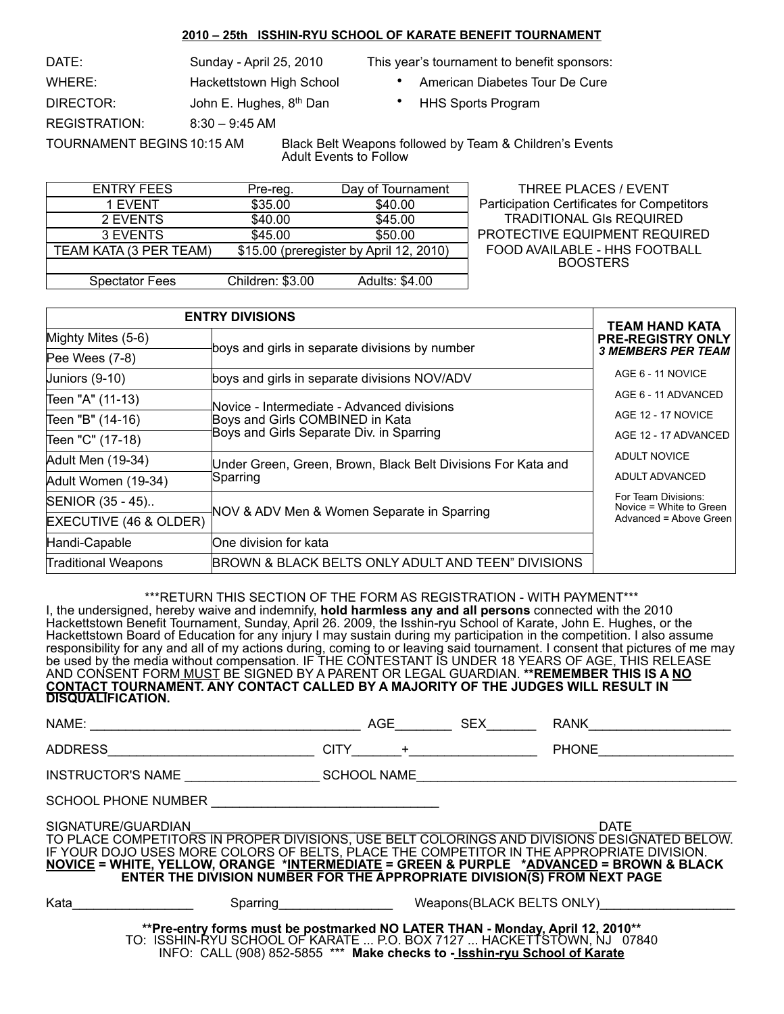#### **2010 – 25th ISSHIN-RYU SCHOOL OF KARATE BENEFIT TOURNAMENT**

WHERE: **hackettstown High School** • American Diabetes Tour De Cure DIRECTOR: John E. Hughes, 8<sup>th</sup> Dan • HHS Sports Program REGISTRATION: 8:30 – 9:45 AM

DATE: Sunday - April 25, 2010 This year's tournament to benefit sponsors:

- 
- 

TOURNAMENT BEGINS10:15 AM Black Belt Weapons followed by Team & Children's Events Adult Events to Follow

| <b>ENTRY FEES</b>      |  | Pre-reg.                                | Day of Tournament |              |
|------------------------|--|-----------------------------------------|-------------------|--------------|
| 1 EVENT                |  | \$35.00                                 | \$40.00           | Particip     |
| 2 EVENTS               |  | \$40.00                                 | \$45.00           | TR           |
| 3 EVENTS               |  | \$45.00                                 | \$50.00           | <b>PROTE</b> |
| TEAM KATA (3 PER TEAM) |  | \$15.00 (preregister by April 12, 2010) | <b>FOOD</b>       |              |
|                        |  |                                         |                   |              |
| <b>Spectator Fees</b>  |  | Children: \$3.00                        | Adults: \$4.00    |              |

THREE PLACES / EVENT ation Certificates for Competitors ADITIONAL GIs REQUIRED **CTIVE EQUIPMENT REQUIRED** AVAILABLE - HHS FOOTBALL **BOOSTERS** 

| <b>ENTRY DIVISIONS</b>     | <b>TEAM HAND KATA</b>                                        |                                                                          |  |
|----------------------------|--------------------------------------------------------------|--------------------------------------------------------------------------|--|
| Mighty Mites (5-6)         |                                                              | <b>PRE-REGISTRY ONLY</b>                                                 |  |
| Pee Wees $(7-8)$           | boys and girls in separate divisions by number               | <b>3 MEMBERS PER TEAM</b>                                                |  |
| Juniors $(9-10)$           | boys and girls in separate divisions NOV/ADV                 | AGE 6 - 11 NOVICE                                                        |  |
| Teen "A" (11-13)           | Novice - Intermediate - Advanced divisions                   | AGE 6 - 11 ADVANCED                                                      |  |
| Teen "B" (14-16)           | Boys and Girls COMBINED in Kata                              | AGE 12 - 17 NOVICE                                                       |  |
| Teen "C" (17-18)           | Boys and Girls Separate Div. in Sparring                     | AGE 12 - 17 ADVANCED                                                     |  |
| Adult Men (19-34)          | Under Green, Green, Brown, Black Belt Divisions For Kata and | ADULT NOVICE                                                             |  |
| Adult Women (19-34)        | Sparring                                                     | ADULT ADVANCED                                                           |  |
| SENIOR (35 - 45)           |                                                              | For Team Divisions:<br>Novice = White to Green<br>Advanced = Above Green |  |
| EXECUTIVE (46 & OLDER)     | NOV & ADV Men & Women Separate in Sparring                   |                                                                          |  |
| Handi-Capable              | One division for kata                                        |                                                                          |  |
| <b>Traditional Weapons</b> | BROWN & BLACK BELTS ONLY ADULT AND TEEN" DIVISIONS           |                                                                          |  |

\*\*\*RETURN THIS SECTION OF THE FORM AS REGISTRATION - WITH PAYMENT\*\*\* I, the undersigned, hereby waive and indemnify, **hold harmless any and all persons** connected with the 2010 Hackettstown Benefit Tournament, Sunday, April 26. 2009, the Isshin-ryu School of Karate, John E. Hughes, or the Hackettstown Board of Education for any injury I may sustain during my participation in the competition. I also assume responsibility for any and all of my actions during, coming to or leaving said tournament. I consent that pictures of me may be used by the media without compensation. IF THE CONTESTANT IS UNDER 18 YEARS OF AGE, THIS RELEASE AND CONSENT FORM MUST BE SIGNED BY A PARENT OR LEGAL GUARDIAN. **\*\*REMEMBER THIS IS A NO CONTACT TOURNAMENT. ANY CONTACT CALLED BY A MAJORITY OF THE JUDGES WILL RESULT IN DISQUALIFICATION.**

|                                                                                                                                                                                                                                                                                                                                                                                               |             | <b>AGE</b> | <b>SEX</b> | RANK                                |  |  |
|-----------------------------------------------------------------------------------------------------------------------------------------------------------------------------------------------------------------------------------------------------------------------------------------------------------------------------------------------------------------------------------------------|-------------|------------|------------|-------------------------------------|--|--|
| ADDRESS                                                                                                                                                                                                                                                                                                                                                                                       | <b>CITY</b> |            |            | <b>PHONE</b>                        |  |  |
| INSTRUCTOR'S NAME SCHOOL NAME                                                                                                                                                                                                                                                                                                                                                                 |             |            |            |                                     |  |  |
| SCHOOL PHONE NUMBER                                                                                                                                                                                                                                                                                                                                                                           |             |            |            |                                     |  |  |
| SIGNATURE/GUARDIAN<br>TO PLACE COMPETITORS IN PROPER DIVISIONS, USE BELT COLORINGS AND DIVISIONS DESIGNATED BELOW.<br>IF YOUR DOJO USES MORE COLORS OF BELTS, PLACE THE COMPETITOR IN THE APPROPRIATE DIVISION.<br>NOVICE = WHITE, YELLOW, ORANGE *INTERMEDIATE = GREEN & PURPLE *ADVANCED = BROWN & BLACK<br><b>ENTER THE DIVISION NUMBER FOR THE APPROPRIATE DIVISION(S) FROM NEXT PAGE</b> |             |            |            | <b>DATE</b>                         |  |  |
| Kata                                                                                                                                                                                                                                                                                                                                                                                          |             |            |            | Sparring Weapons (BLACK BELTS ONLY) |  |  |
| **Pre-entry forms must be postmarked NO LATER THAN - Monday, April 12, 2010**<br>TO: ISSHIN-RYU SCHOOL OF KARATE  P.O. BOX 7127  HACKETTSTOWN, NJ 07840<br>INFO: CALL (908) 852-5855 *** Make checks to - Isshin-ryu School of Karate                                                                                                                                                         |             |            |            |                                     |  |  |